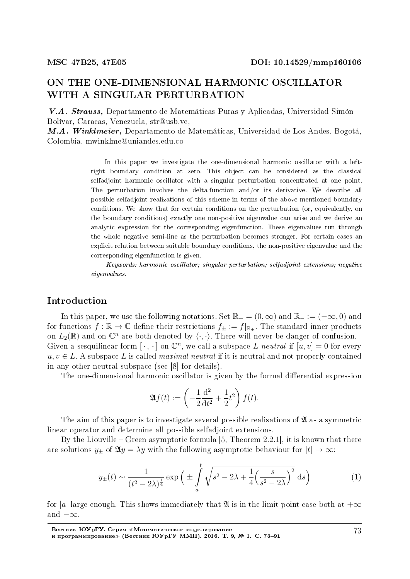# ON THE ONE-DIMENSIONAL HARMONIC OSCILLATOR WITH A SINGULAR PERTURBATION

V.A. Strauss, Departamento de Matematicas Puras y Aplicadas, Universidad Simon Bolvar, Caracas, Venezuela, str@usb.ve,

M.A. Winklmeier, Departamento de Matemáticas, Universidad de Los Andes, Bogotá. Colombia, mwinklme@uniandes.edu.co

> In this paper we investigate the one-dimensional harmonic oscillator with a leftright boundary condition at zero. This object can be considered as the classical selfadjoint harmonic oscillator with a singular perturbation concentrated at one point. The perturbation involves the delta-function and/or its derivative. We describe all possible selfadjoint realizations of this scheme in terms of the above mentioned boundary conditions. We show that for certain conditions on the perturbation (or, equivalently, on the boundary conditions) exactly one non-positive eigenvalue can arise and we derive an analytic expression for the corresponding eigenfunction. These eigenvalues run through the whole negative semi-line as the perturbation becomes stronger. For certain cases an explicit relation between suitable boundary conditions, the non-positive eigenvalue and the corresponding eigenfunction is given.

> Keywords: harmonic oscillator; singular perturbation; selfadjoint extensions; negative eigenvalues.

# Introduction

In this paper, we use the following notations. Set  $\mathbb{R}_+ = (0, \infty)$  and  $\mathbb{R}_- := (-\infty, 0)$  and for functions  $f : \mathbb{R} \to \mathbb{C}$  define their restrictions  $f_{\pm} := f|_{\mathbb{R}^+}$ . The standard inner products on  $L_2(\mathbb{R})$  and on  $\mathbb{C}^n$  are both denoted by  $\langle \cdot, \cdot \rangle$ . There will never be danger of confusion. Given a sesquilinear form  $[\cdot, \cdot]$  on  $\mathbb{C}^n$ , we call a subspace *L* neutral if  $[u, v] = 0$  for every  $u, v \in L$ . A subspace L is called *maximal neutral* if it is neutral and not properly contained in any other neutral subspace (see [8] for details).

The one-dimensional harmonic oscillator is given by the formal differential expression

$$
\mathfrak{A}f(t) := \left(-\frac{1}{2}\frac{\mathrm{d}^2}{\mathrm{d}t^2} + \frac{1}{2}t^2\right)f(t).
$$

The aim of this paper is to investigate several possible realisations of  $\mathfrak A$  as a symmetric linear operator and determine all possible selfadjoint extensions.

By the Liouville – Green asymptotic formula  $[5,$  Theorem 2.2.1], it is known that there are solutions  $y_{\pm}$  of  $\mathfrak{A}y = \lambda y$  with the following asymptotic behaviour for  $|t| \to \infty$ :

$$
y_{\pm}(t) \sim \frac{1}{(t^2 - 2\lambda)^{\frac{1}{4}}} \exp\left(\pm \int\limits_a^t \sqrt{s^2 - 2\lambda + \frac{1}{4} \left(\frac{s}{s^2 - 2\lambda}\right)^2} ds\right) \tag{1}
$$

for |*a*| large enough. This shows immediately that  $\mathfrak A$  is in the limit point case both at  $+\infty$ and *−∞*.

Вестник ЮУрГУ. Серия «Математическое моделирование и программирование≫ (Вестник ЮУрГУ ММП). 2016. Т. 9, № 1. С. 73–91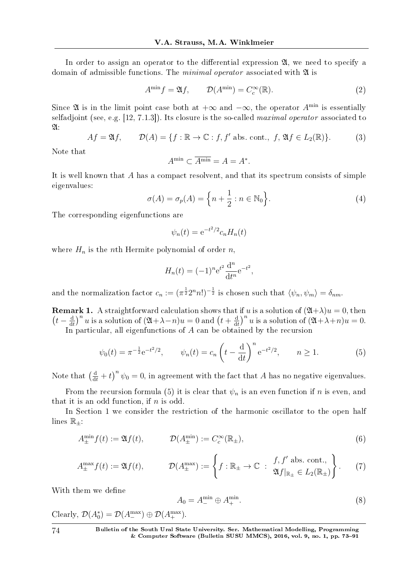In order to assign an operator to the differential expression  $\mathfrak{A}$ , we need to specify a domain of admissible functions. The *minimal operator* associated with  $\mathfrak{A}$  is

$$
A^{\min} f = \mathfrak{A} f, \qquad \mathcal{D}(A^{\min}) = C_c^{\infty}(\mathbb{R}). \tag{2}
$$

Since  $\mathfrak A$  is in the limit point case both at  $+\infty$  and  $-\infty$ , the operator  $A^{\min}$  is essentially selfadioint (see, e.g. [12, 7.1.3]). Its closure is the so-called *maximal operator* associated to  $\mathfrak{A}$ :

$$
Af = \mathfrak{A}f, \qquad \mathcal{D}(A) = \{f : \mathbb{R} \to \mathbb{C} : f, f' \text{ abs. cont.}, f, \mathfrak{A}f \in L_2(\mathbb{R})\}.
$$
 (3)

Note that

$$
A^{\min} \subset \overline{A^{\min}} = A = A^*.
$$

It is well known that *A* has a compact resolvent, and that its spectrum consists of simple eigenvalues:

$$
\sigma(A) = \sigma_p(A) = \left\{ n + \frac{1}{2} : n \in \mathbb{N}_0 \right\}.
$$
 (4)

The corresponding eigenfunctions are

$$
\psi_n(t) = e^{-t^2/2} c_n H_n(t)
$$

where  $H_n$  is the *n*th Hermite polynomial of order *n*,

$$
H_n(t) = (-1)^n e^{t^2} \frac{d^n}{dt^n} e^{-t^2},
$$

and the normalization factor  $c_n := (\pi^{\frac{1}{2}} 2^n n!)^{-\frac{1}{2}}$  is chosen such that  $\langle \psi_n, \psi_m \rangle = \delta_{nm}$ .

**Remark 1.** A straightforward calculation shows that if *u* is a solution of  $(24+\lambda)u = 0$ , then  $(t-\frac{d}{dt})$  $\frac{d}{dt}$ <sup>*n*</sup></sup> *u* is a solution of  $(2l + \lambda - n)u = 0$  and  $(t + \frac{d}{dt})$  $\frac{d}{dt}$ <sup>*n*</sup> *u* is a solution of  $(2l + \lambda + n)u = 0$ .

In particular, all eigenfunctions of *A* can be obtained by the recursion

$$
\psi_0(t) = \pi^{-\frac{1}{2}} e^{-t^2/2}, \qquad \psi_n(t) = c_n \left( t - \frac{d}{dt} \right)^n e^{-t^2/2}, \qquad n \ge 1.
$$
 (5)

Note that  $\left(\frac{d}{dt} + t\right)^n \psi_0 = 0$ , in agreement with the fact that *A* has no negative eigenvalues.

From the recursion formula (5) it is clear that  $\psi_n$  is an even function if *n* is even, and that it is an odd function, if *n* is odd.

In Section 1 we consider the restriction of the harmonic oscillator to the open half lines R*±*:

$$
A_{\pm}^{\min} f(t) := \mathfrak{A} f(t), \qquad \mathcal{D}(A_{\pm}^{\min}) := C_c^{\infty}(\mathbb{R}_{\pm}), \qquad (6)
$$

$$
A_{\pm}^{\max} f(t) := \mathfrak{A} f(t), \qquad \mathcal{D}(A_{\pm}^{\max}) := \left\{ f : \mathbb{R}_{\pm} \to \mathbb{C} \; : \; \begin{array}{c} f, f' \text{ abs. cont.}, \\ \mathfrak{A} f|_{\mathbb{R}_{\pm}} \in L_2(\mathbb{R}_{\pm}) \end{array} \right\}.
$$
 (7)

With them we define

$$
A_0 = A^{\min}_{-} \oplus A^{\min}_{+}.
$$
\n
$$
(8)
$$

Clearly,  $\mathcal{D}(A_0^*) = \mathcal{D}(A_-^{\max}) \oplus \mathcal{D}(A_+^{\max}).$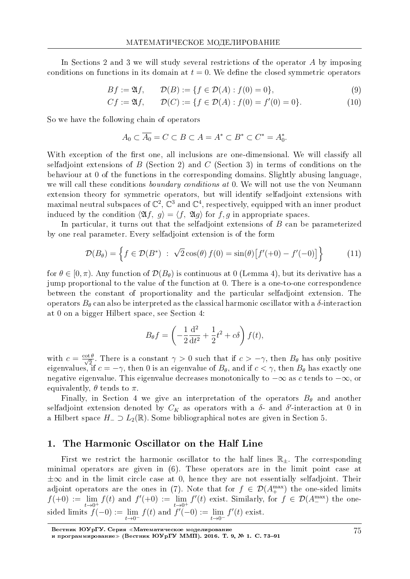In Sections 2 and 3 we will study several restrictions of the operator *A* by imposing conditions on functions in its domain at  $t = 0$ . We define the closed symmetric operators

$$
Bf := \mathfrak{A}f, \qquad \mathcal{D}(B) := \{ f \in \mathcal{D}(A) : f(0) = 0 \}, \tag{9}
$$

$$
Cf := \mathfrak{A}f, \qquad \mathcal{D}(C) := \{ f \in \mathcal{D}(A) : f(0) = f'(0) = 0 \}.
$$
 (10)

So we have the following chain of operators

$$
A_0 \subset \overline{A_0} = C \subset B \subset A = A^* \subset B^* \subset C^* = A_0^*.
$$

With exception of the first one, all inclusions are one-dimensional. We will classify all selfadjoint extensions of *B* (Section 2) and *C* (Section 3) in terms of conditions on the behaviour at 0 of the functions in the corresponding domains. Slightly abusing language, we will call these conditions *boundary conditions at* 0. We will not use the von Neumann extension theory for symmetric operators, but will identify selfadjoint extensions with maximal neutral subspaces of  $\mathbb{C}^2$ ,  $\mathbb{C}^3$  and  $\mathbb{C}^4$ , respectively, equipped with an inner product induced by the condition  $\langle \mathfrak{A} f, q \rangle = \langle f, \mathfrak{A} q \rangle$  for f, q in appropriate spaces.

In particular, it turns out that the selfadjoint extensions of *B* can be parameterized by one real parameter. Every selfadjoint extension is of the form

$$
\mathcal{D}(B_{\theta}) = \left\{ f \in \mathcal{D}(B^*) \; : \; \sqrt{2} \cos(\theta) \, f(0) = \sin(\theta) \big[ f'(+0) - f'(-0) \big] \right\} \tag{11}
$$

for  $\theta \in [0, \pi)$ . Any function of  $\mathcal{D}(B_{\theta})$  is continuous at 0 (Lemma 4), but its derivative has a jump proportional to the value of the function at 0. There is a one-to-one correspondence between the constant of proportionality and the particular selfadjoint extension. The operators  $B_{\theta}$  can also be interpreted as the classical harmonic oscillator with a  $\delta$ -interaction at 0 on a bigger Hilbert space, see Section 4:

$$
B_{\theta}f = \left(-\frac{1}{2}\frac{d^2}{dt^2} + \frac{1}{2}t^2 + c\delta\right)f(t),
$$

with  $c = \frac{\cot \theta}{\sqrt{2}}$  $\frac{2}{2}$ . There is a constant  $\gamma > 0$  such that if  $c > -\gamma$ , then  $B_{\theta}$  has only positive eigenvalues, if  $c = -\gamma$ , then 0 is an eigenvalue of  $B_{\theta}$ , and if  $c < \gamma$ , then  $B_{\theta}$  has exactly one negative eigenvalue. This eigenvalue decreases monotonically to *−∞* as *c* tends to *−∞*, or equivalently,  $\theta$  tends to  $\pi$ .

Finally, in Section 4 we give an interpretation of the operators  $B_{\theta}$  and another selfadjoint extension denoted by  $C_K$  as operators with a  $\delta$ - and  $\delta'$ -interaction at 0 in a Hilbert space *H<sup>−</sup> ⊃ L*2(R). Some bibliographical notes are given in Section 5.

# 1. The Harmonic Oscillator on the Half Line

First we restrict the harmonic oscillator to the half lines R*±*. The corresponding minimal operators are given in (6). These operators are in the limit point case at *±∞* and in the limit circle case at 0, hence they are not essentially selfadjoint. Their adjoint operators are the ones in (7). Note that for  $f \in \mathcal{D}(A_+^{\max})$  the one-sided limits  $f(+0) := \lim$  $t\rightarrow 0^+$ *f*(*t*) and *f*'(+0) := lim  $t\rightarrow 0^+$  $f'(t)$  exist. Similarly, for  $f \in \mathcal{D}(A_{-}^{\max})$  the onesided limits *f*(*−*0) := lim *t→*0*<sup>−</sup>*  $f(t)$  and  $f'(-0) := \lim$ *t→*0*<sup>−</sup>*  $f'(t)$  exist.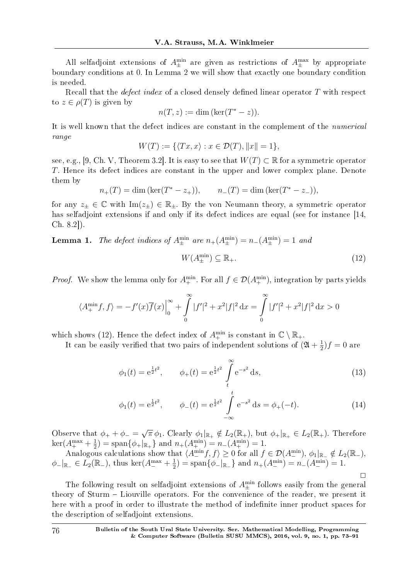All selfadjoint extensions of  $A_{\pm}^{min}$  are given as restrictions of  $A_{\pm}^{max}$  by appropriate boundary conditions at 0. In Lemma 2 we will show that exactly one boundary condition is needed.

Recall that the *defect index* of a closed densely defined linear operator T with respect to  $z \in \rho(T)$  is given by

$$
n(T, z) := \dim (\ker(T^* - z)).
$$

It is well known that the defect indices are constant in the complement of the *numerical* range

$$
W(T) := \{ \langle Tx, x \rangle : x \in \mathcal{D}(T), ||x|| = 1 \},
$$

see, e.g., [9, Ch. V, Theorem 3.2]. It is easy to see that  $W(T) \subset \mathbb{R}$  for a symmetric operator *T*. Hence its defect indices are constant in the upper and lower complex plane. Denote them by

$$
n_{+}(T) = \dim (\ker(T^{*} - z_{+})),
$$
  $n_{-}(T) = \dim (\ker(T^{*} - z_{-})),$ 

for any  $z_{\pm} \in \mathbb{C}$  with  $\text{Im}(z_{\pm}) \in \mathbb{R}_{\pm}$ . By the von Neumann theory, a symmetric operator has selfadjoint extensions if and only if its defect indices are equal (see for instance [14, Ch. 8.2]).

**Lemma 1.** The defect indices of  $A_{\pm}^{\min}$  are  $n_{+}(A_{\pm}^{\min}) = n_{-}(A_{\pm}^{\min}) = 1$  and

$$
W(A_{\pm}^{\min}) \subseteq \mathbb{R}_{+}.\tag{12}
$$

*Proof.* We show the lemma only for  $A_{+}^{\min}$ . For all  $f \in \mathcal{D}(A_{+}^{\min})$ , integration by parts yields

$$
\langle A^{\min}_+ f, f \rangle = -f'(x)\overline{f}(x)\Big|_0^\infty + \int_0^\infty |f'|^2 + x^2|f|^2 \, \mathrm{d}x = \int_0^\infty |f'|^2 + x^2|f|^2 \, \mathrm{d}x > 0
$$

which shows (12). Hence the defect index of  $A_+^{\text{min}}$  is constant in  $\mathbb{C} \setminus \mathbb{R}_+$ .

It can be easily verified that two pairs of independent solutions of  $(2l + \frac{1}{2l})$  $(\frac{1}{2})f = 0$  are

$$
\phi_1(t) = e^{\frac{1}{2}t^2}, \qquad \phi_+(t) = e^{\frac{1}{2}t^2} \int_t^{\infty} e^{-s^2} ds,
$$
\n(13)

$$
\phi_1(t) = e^{\frac{1}{2}t^2}, \qquad \phi_-(t) = e^{\frac{1}{2}t^2} \int_{-\infty}^t e^{-s^2} ds = \phi_+(-t). \tag{14}
$$

Observe that  $\phi_+ + \phi_- =$ *√*  $\pi \phi_1$ . Clearly  $\phi_1|_{\mathbb{R}_+} \notin L_2(\mathbb{R}_+),$  but  $\phi_+|_{\mathbb{R}_+} \in L_2(\mathbb{R}_+).$  Therefore  $\ker(A_+^{\text{max}} + \frac{1}{2})$  $\frac{1}{2}$ ) = span $\{\phi_+\vert_{\mathbb{R}_+}\}\$ and  $n_+(A_+^{\min}) = n_-(A_+^{\min}) = 1$ .

Analogous calculations show that  $\langle A_{-}^{\min} f, f \rangle \geq 0$  for all  $f \in \mathcal{D}(A_{-}^{\min}), \phi_1|_{\mathbb{R}_-} \notin L_2(\mathbb{R}_-),$  $\phi$ <sup>−</sup> $|_{\mathbb{R}_-}$  ∈ *L*<sub>2</sub>( $\mathbb{R}_-$ ), thus ker( $A_-^{\text{max}} + \frac{1}{2}$  $\frac{1}{2}$ ) = span $\{\phi_-\vert_{\mathbb{R}_-}\}$  and  $n_+(A_-^{\min}) = n_-(A_-^{\min}) = 1$ .  $\Box$ 

The following result on selfadjoint extensions of  $A_{\pm}^{\min}$  follows easily from the general theory of Sturm – Liouville operators. For the convenience of the reader, we present it here with a proof in order to illustrate the method of indefinite inner product spaces for the description of selfadjoint extensions.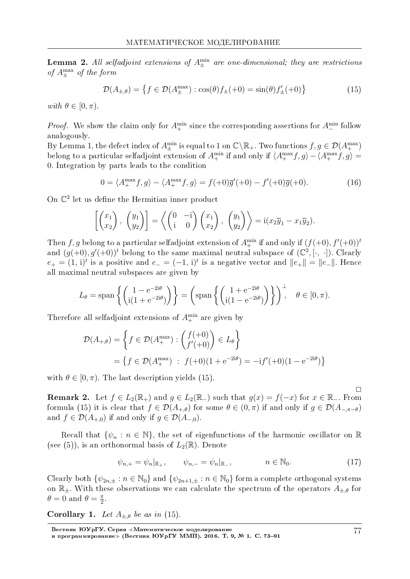**Lemma 2.** All selfadjoint extensions of  $A_{\pm}^{\min}$  are one-dimensional; they are restrictions of *A*max *<sup>±</sup>* of the form

$$
\mathcal{D}(A_{\pm,\theta}) = \left\{ f \in \mathcal{D}(A_{\pm}^{\max}) : \cos(\theta)f_{\pm}(+0) = \sin(\theta)f'_{\pm}(+0) \right\}
$$
(15)

with  $\theta \in [0, \pi)$ .

*Proof.* We show the claim only for  $A_{+}^{\min}$  since the corresponding assertions for  $A_{-}^{\min}$  follow analogously.

By Lemma 1, the defect index of  $A_{\pm}^{\min}$  is equal to 1 on  $\mathbb{C}\backslash\mathbb{R}_+$ . Two functions  $f, g \in \mathcal{D}(A_{\pm}^{\max})$ belong to a particular selfadjoint extension of  $A_{+}^{\min}$  if and only if  $\langle A_{+}^{\max} f, g \rangle - \langle A_{+}^{\max} f, g \rangle =$ 0. Integration by parts leads to the condition

$$
0 = \langle A_+^{\max} f, g \rangle - \langle A_+^{\max} f, g \rangle = f(+0)\overline{g}'(+0) - f'(+0)\overline{g}(+0). \tag{16}
$$

On  $\mathbb{C}^2$  let us define the Hermitian inner product

$$
\left[\begin{pmatrix} x_1 \\ x_2 \end{pmatrix}, \begin{pmatrix} y_1 \\ y_2 \end{pmatrix}\right] = \left\langle \begin{pmatrix} 0 & -i \\ i & 0 \end{pmatrix} \begin{pmatrix} x_1 \\ x_2 \end{pmatrix}, \begin{pmatrix} y_1 \\ y_2 \end{pmatrix} \right\rangle = i(x_2\overline{y}_1 - x_1\overline{y}_2).
$$

Then  $f, g$  belong to a particular selfadjoint extension of  $A^{\min}_+$  if and only if  $(f(+0), f'(+0))^t$ and  $(g(+0), g'(+0))$ <sup>t</sup> belong to the same maximal neutral subspace of  $(\mathbb{C}^2, [\cdot, \cdot])$ . Clearly *e*<sup>+</sup> =  $(1, i)^t$  is a positive and *e*<sup>−</sup> =  $(-1, i)^t$  is a negative vector and  $||e^+|| = ||e^-||$ . Hence all maximal neutral subspaces are given by

$$
L_{\theta} = \text{span}\left\{ \begin{pmatrix} 1 - e^{-2i\theta} \\ i(1 + e^{-2i\theta}) \end{pmatrix} \right\} = \left(\text{span}\left\{ \begin{pmatrix} 1 + e^{-2i\theta} \\ i(1 - e^{-2i\theta}) \end{pmatrix} \right\} \right)^{\perp}, \quad \theta \in [0, \pi).
$$

Therefore all selfadjoint extensions of  $A_+^{\text{min}}$  are given by

$$
\mathcal{D}(A_{+,\theta}) = \left\{ f \in \mathcal{D}(A_{+}^{\max}) : \begin{pmatrix} f(+0) \\ f'(+0) \end{pmatrix} \in L_{\theta} \right\}
$$
  
=  $\left\{ f \in \mathcal{D}(A_{+}^{\max}) : f(+0)(1 + e^{-2i\theta}) = -if'(+0)(1 - e^{-2i\theta}) \right\}$ 

with  $\theta \in [0, \pi)$ . The last description yields (15).

 $\Box$ **Remark 2.** Let  $f \in L_2(\mathbb{R}_+)$  and  $g \in L_2(\mathbb{R}_-)$  such that  $g(x) = f(-x)$  for  $x \in \mathbb{R}_-$ . From formula (15) it is clear that  $f \in \mathcal{D}(A_{+,\theta})$  for some  $\theta \in (0,\pi)$  if and only if  $g \in \mathcal{D}(A_{-,\pi-\theta})$ and  $f \in \mathcal{D}(A_{+0})$  if and only if  $g \in \mathcal{D}(A_{-0})$ .

Recall that  $\{\psi_n : n \in \mathbb{N}\}\$ , the set of eigenfunctions of the harmonic oscillator on R (see (5)), is an orthonormal basis of  $L_2(\mathbb{R})$ . Denote

$$
\psi_{n,+} = \psi_n|_{\mathbb{R}_+}, \qquad \psi_{n,-} = \psi_n|_{\mathbb{R}_-}, \qquad n \in \mathbb{N}_0. \tag{17}
$$

Clearly both  $\{\psi_{2n,\pm}: n \in \mathbb{N}_0\}$  and  $\{\psi_{2n+1,\pm}: n \in \mathbb{N}_0\}$  form a complete orthogonal systems on  $\mathbb{R}_+$ . With these observations we can calculate the spectrum of the operators  $A_{\pm,\theta}$  for  $\theta = 0$  and  $\theta = \frac{\pi}{2}$  $\frac{\pi}{2}$ .

**Corollary 1.** Let  $A_{\pm,\theta}$  be as in (15).

Вестник ЮУрГУ. Серия «Математическое моделирование и программирование≫ (Вестник ЮУрГУ ММП). 2016. Т. 9, № 1. С. 73–91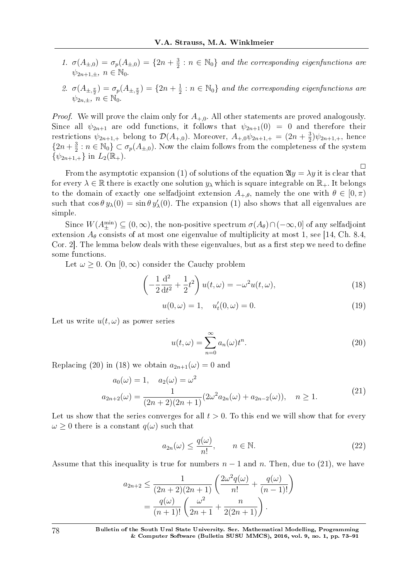- 1.  $\sigma(A_{\pm,0}) = \sigma_p(A_{\pm,0}) = \{2n + \frac{3}{2}\}$  $\frac{3}{2}$  :  $n \in \mathbb{N}_0$  and the corresponding eigenfunctions are  $\psi_{2n+1,\pm}, n \in \mathbb{N}_0$ .
- 2.  $\sigma(A_{\pm,\frac{\pi}{2}}) = \sigma_p(A_{\pm,\frac{\pi}{2}}) = \{2n + \frac{1}{2}\}$  $\frac{1}{2}$ :  $n \in \mathbb{N}_0$  and the corresponding eigenfunctions are  $\psi_{2n,+}$ ,  $n \in \mathbb{N}_0$ .

*Proof.* We will prove the claim only for  $A_{+,0}$ . All other statements are proved analogously. Since all  $\psi_{2n+1}$  are odd functions, it follows that  $\psi_{2n+1}(0) = 0$  and therefore their restrictions  $\psi_{2n+1,+}$  belong to  $\mathcal{D}(A_{+,0})$ . Moreover,  $A_{+,0}\psi_{2n+1,+} = (2n+\frac{3}{2})$  $\frac{3}{2}$ ) $\psi_{2n+1,+}$ , hence  $\{2n+\frac{3}{2}\}$  $\frac{3}{2}$  :  $n \in \mathbb{N}_0$ }  $\subset \sigma_p(A_{\pm,0})$ . Now the claim follows from the completeness of the system  $\{\psi_{2n+1,+}\}\$ in  $L_2(\mathbb{R}_+).$ 

 $\Box$ From the asymptotic expansion (1) of solutions of the equation  $\mathfrak{A}y = \lambda y$  it is clear that for every  $\lambda \in \mathbb{R}$  there is exactly one solution  $y_{\lambda}$  which is square integrable on  $\mathbb{R}_+$ . It belongs to the domain of exactly one selfadjoint extension  $A_{+,\theta}$ , namely the one with  $\theta \in [0,\pi)$ such that  $\cos \theta y_\lambda(0) = \sin \theta y_\lambda'(0)$ . The expansion (1) also shows that all eigenvalues are simple.

Since  $W(A_{\pm}^{\min}) \subseteq (0, \infty)$ , the non-positive spectrum  $\sigma(A_{\theta}) \cap (-\infty, 0]$  of any selfadjoint extension  $A_{\theta}$  consists of at most one eigenvalue of multiplicity at most 1, see [14, Ch. 8.4, Cor. 2. The lemma below deals with these eigenvalues, but as a first step we need to define some functions.

Let  $\omega \geq 0$ . On  $[0, \infty)$  consider the Cauchy problem

$$
\left(-\frac{1}{2}\frac{\mathrm{d}^2}{\mathrm{d}t^2} + \frac{1}{2}t^2\right)u(t,\omega) = -\omega^2 u(t,\omega),\tag{18}
$$

$$
u(0,\omega) = 1, \quad u'_t(0,\omega) = 0.
$$
 (19)

Let us write  $u(t, \omega)$  as power series

$$
u(t,\omega) = \sum_{n=0}^{\infty} a_n(\omega) t^n.
$$
 (20)

Replacing (20) in (18) we obtain  $a_{2n+1}(\omega) = 0$  and

$$
a_0(\omega) = 1, \quad a_2(\omega) = \omega^2
$$
  
\n
$$
a_{2n+2}(\omega) = \frac{1}{(2n+2)(2n+1)} (2\omega^2 a_{2n}(\omega) + a_{2n-2}(\omega)), \quad n \ge 1.
$$
\n(21)

Let us show that the series converges for all  $t > 0$ . To this end we will show that for every  $\omega$  *>* 0 there is a constant  $q(\omega)$  such that

$$
a_{2n}(\omega) \le \frac{q(\omega)}{n!}, \qquad n \in \mathbb{N}.
$$
 (22)

Assume that this inequality is true for numbers  $n-1$  and  $n$ . Then, due to (21), we have

$$
a_{2n+2} \leq \frac{1}{(2n+2)(2n+1)} \left( \frac{2\omega^2 q(\omega)}{n!} + \frac{q(\omega)}{(n-1)!} \right)
$$
  
= 
$$
\frac{q(\omega)}{(n+1)!} \left( \frac{\omega^2}{2n+1} + \frac{n}{2(2n+1)} \right).
$$

78 Bulletin of the South Ural State University. Ser. Mathematical Modelling, Programming & Computer Software (Bulletin SUSU MMCS), 2016, vol. 9, no. 1, pp.  $73-91$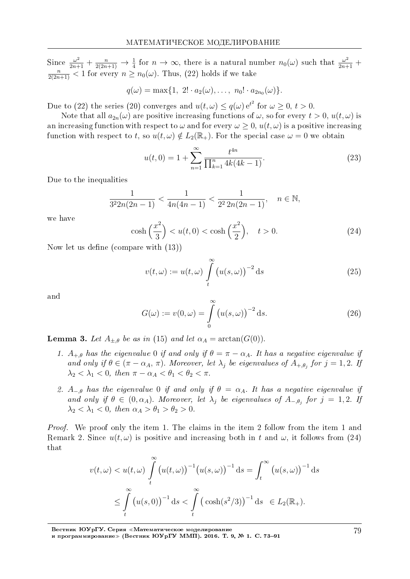Since  $\frac{\omega^2}{2n+1}$  +  $\frac{n}{2(2n+1)}$   $\rightarrow \frac{1}{4}$  for  $n \rightarrow \infty$ , there is a natural number  $n_0(\omega)$  such that  $\frac{\omega^2}{2n+1}$  +  $\frac{n}{2(2n+1)}$  < 1 for every  $n \ge n_0(\omega)$ . Thus, (22) holds if we take

$$
q(\omega) = \max\{1, 2! \cdot a_2(\omega), \ldots, n_0! \cdot a_{2n_0}(\omega)\}.
$$

Due to (22) the series (20) converges and  $u(t,\omega) \leq q(\omega) e^{t^2}$  for  $\omega \geq 0, t > 0$ .

Note that all  $a_{2n}(\omega)$  are positive increasing functions of  $\omega$ , so for every  $t > 0$ ,  $u(t, \omega)$  is an increasing function with respect to  $\omega$  and for every  $\omega > 0$ ,  $u(t, \omega)$  is a positive increasing function with respect to t, so  $u(t, \omega) \notin L_2(\mathbb{R}_+)$ . For the special case  $\omega = 0$  we obtain

$$
u(t,0) = 1 + \sum_{n=1}^{\infty} \frac{t^{4n}}{\prod_{k=1}^{n} 4k(4k-1)}.
$$
\n(23)

Due to the inequalities

$$
\frac{1}{3^2 2n(2n-1)} < \frac{1}{4n(4n-1)} < \frac{1}{2^2 2n(2n-1)}, \quad n \in \mathbb{N}
$$

we have

$$
\cosh\left(\frac{x^2}{3}\right) < u(t,0) < \cosh\left(\frac{x^2}{2}\right), \quad t > 0. \tag{24}
$$

Now let us define (compare with  $(13)$ )

$$
v(t,\omega) := u(t,\omega) \int\limits_t^{\infty} \left( u(s,\omega) \right)^{-2} \mathrm{d}s \tag{25}
$$

and

$$
G(\omega) := v(0, \omega) = \int_{0}^{\infty} (u(s, \omega))^{-2} ds.
$$
 (26)

**Lemma 3.** Let  $A_{\pm,\theta}$  be as in (15) and let  $\alpha_A = \arctan(G(0))$ .

- 1.  $A_{+,0}$  has the eigenvalue 0 if and only if  $\theta = \pi \alpha_A$ . It has a negative eigenvalue if and only if  $\theta \in (\pi - \alpha_A, \pi)$ . Moreover, let  $\lambda_j$  be eigenvalues of  $A_{+,\theta_j}$  for  $j = 1,2$ . If  $\lambda_2 < \lambda_1 < 0$ , then  $\pi - \alpha_A < \theta_1 < \theta_2 < \pi$ .
- 2.  $A_{-\theta}$  has the eigenvalue 0 if and only if  $\theta = \alpha_A$ . It has a negative eigenvalue if and only if  $\theta \in (0, \alpha_A)$ . Moreover, let  $\lambda_j$  be eigenvalues of  $A_{-\theta_j}$  for  $j = 1, 2$ . If  $\lambda_2 < \lambda_1 < 0$ , then  $\alpha_A > \theta_1 > \theta_2 > 0$ .

*Proof.* We proof only the item 1. The claims in the item 2 follow from the item 1 and Remark 2. Since  $u(t, \omega)$  is positive and increasing both in t and  $\omega$ , it follows from (24) that

$$
v(t,\omega) < u(t,\omega) \int\limits_t^\infty \left( u(t,\omega) \right)^{-1} \left( u(s,\omega) \right)^{-1} \mathrm{d}s = \int_t^\infty \left( u(s,\omega) \right)^{-1} \mathrm{d}s
$$
\n
$$
\leq \int\limits_t^\infty \left( u(s,0) \right)^{-1} \mathrm{d}s < \int\limits_t^\infty \left( \cosh(s^2/3) \right)^{-1} \mathrm{d}s \in L_2(\mathbb{R}_+).
$$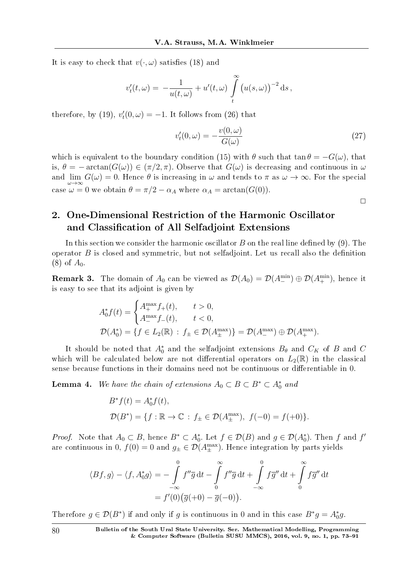It is easy to check that  $v(\cdot, \omega)$  satisfies (18) and

$$
v'_t(t,\omega) = -\frac{1}{u(t,\omega)} + u'(t,\omega) \int\limits_t^{\infty} (u(s,\omega))^{-2} \, \mathrm{d} s,
$$

therefore, by (19),  $v'_t(0,\omega) = -1$ . It follows from (26) that

$$
v_t'(0,\omega) = -\frac{v(0,\omega)}{G(\omega)}
$$
\n(27)

which is equivalent to the boundary condition (15) with  $\theta$  such that tan  $\theta = -G(\omega)$ , that is,  $\theta = -\arctan(G(\omega)) \in (\pi/2, \pi)$ . Observe that  $G(\omega)$  is decreasing and continuous in  $\omega$ and  $\lim_{\omega \to \infty} G(\omega) = 0$ . Hence  $\theta$  is increasing in  $\omega$  and tends to  $\pi$  as  $\omega \to \infty$ . For the special case  $\omega = 0$  we obtain  $\theta = \pi/2 - \alpha_A$  where  $\alpha_A = \arctan(G(0)).$ 

 $\Box$ 

# 2. One-Dimensional Restriction of the Harmonic Oscillator and Classification of All Selfadjoint Extensions

In this section we consider the harmonic oscillator  $B$  on the real line defined by (9). The operator  $B$  is closed and symmetric, but not selfadjoint. Let us recall also the definition  $(8)$  of  $A_0$ .

**Remark 3.** The domain of  $A_0$  can be viewed as  $\mathcal{D}(A_0) = \mathcal{D}(A_+^{\text{min}}) \oplus \mathcal{D}(A_+^{\text{min}})$ , hence it is easy to see that its adjoint is given by

$$
A_0^* f(t) = \begin{cases} A_+^{\max} f_+(t), & t > 0, \\ A_-^{\max} f_-(t), & t < 0, \end{cases}
$$
  

$$
\mathcal{D}(A_0^*) = \{ f \in L_2(\mathbb{R}) : f_\pm \in \mathcal{D}(A_\pm^{\max}) \} = \mathcal{D}(A_-^{\max}) \oplus \mathcal{D}(A_+^{\max}).
$$

It should be noted that  $A_0^*$  and the selfadjoint extensions  $B_\theta$  and  $C_K$  of  $B$  and  $C$ which will be calculated below are not differential operators on  $L_2(\mathbb{R})$  in the classical sense because functions in their domains need not be continuous or differentiable in 0.

**Lemma 4.** We have the chain of extensions  $A_0 \subset B \subset B^* \subset A_0^*$  and

$$
B^* f(t) = A_0^* f(t),
$$
  
 
$$
\mathcal{D}(B^*) = \{ f : \mathbb{R} \to \mathbb{C} : f_{\pm} \in \mathcal{D}(A_{\pm}^{\max}), f(-0) = f(+0) \}.
$$

*Proof.* Note that  $A_0 \subset B$ , hence  $B^* \subset A_0^*$ . Let  $f \in \mathcal{D}(B)$  and  $g \in \mathcal{D}(A_0^*)$ . Then  $f$  and  $f'$ are continuous in 0,  $f(0) = 0$  and  $g_{\pm} \in \mathcal{D}(A_{\pm}^{\max})$ . Hence integration by parts yields

$$
\langle Bf, g \rangle - \langle f, A_0^* g \rangle = -\int_{-\infty}^0 f'' \overline{g} dt - \int_0^{\infty} f'' \overline{g} dt + \int_{-\infty}^0 f \overline{g}'' dt + \int_0^{\infty} f \overline{g}'' dt
$$

$$
= f'(0) (\overline{g}(+0) - \overline{g}(-0)).
$$

Therefore  $g \in \mathcal{D}(B^*)$  if and only if *g* is continuous in 0 and in this case  $B^*g = A_0^*g$ .

80 Bulletin of the South Ural State University. Ser. Mathematical Modelling, Programming & Computer Software (Bulletin SUSU MMCS), 2016, vol. 9, no. 1, pp. 73–91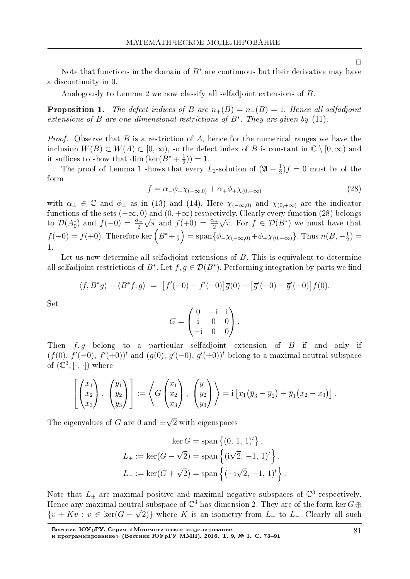Note that functions in the domain of *B<sup>∗</sup>* are continuous but their derivative may have a discontinuity in 0.

Analogously to Lemma 2 we now classify all selfadjoint extensions of *B*.

**Proposition 1.** The defect indices of *B* are  $n_{+}(B) = n_{-}(B) = 1$ . Hence all selfadjoint extensions of *B* are one-dimensional restrictions of  $B^*$ . They are given by (11).

Proof. Observe that *B* is a restriction of *A*, hence for the numerical ranges we have the inclusion  $W(B) \subset W(A) \subset [0, \infty)$ , so the defect index of *B* is constant in  $\mathbb{C} \setminus [0, \infty)$  and it suffices to show that dim (ker( $B^* + \frac{1}{2}$  $(\frac{1}{2})) = 1.$ 

The proof of Lemma 1 shows that every  $L_2$ -solution of  $(\mathfrak{A} + \frac{1}{2})$  $(\frac{1}{2})f = 0$  must be of the form

$$
f = \alpha_- \phi_{-\chi(-\infty,0)} + \alpha_+ \phi_{+\chi(0,+\infty)} \tag{28}
$$

with  $\alpha_{\pm} \in \mathbb{C}$  and  $\phi_{\pm}$  as in (13) and (14). Here  $\chi_{(-\infty,0)}$  and  $\chi_{(0,+\infty)}$  are the indicator functions of the sets (*−∞,* 0) and (0*,* +*∞*) respectively. Clearly every function (28) belongs to  $\mathcal{D}(A_0^*)$  and  $f(-0) = \frac{\alpha_-}{2}$ *γ* and *f*(+0) =  $\frac{\alpha_+}{2}$ *√*  $\overline{\pi}$ . For  $f \in \mathcal{D}(B^*)$  we must have that  $f(-0) = f(+0)$ . Therefore ker  $(B^* + \frac{1}{2})$  $\frac{1}{2}$ ) = span $\{\phi_-\chi_{(-\infty,0)} + \phi_+\chi_{(0,+\infty)}\}$ . Thus  $n(B,-\frac{1}{2})$  $(\frac{1}{2}) =$ 1.

Let us now determine all selfadjoint extensions of *B*. This is equivalent to determine all selfadjoint restrictions of  $B^*$ . Let  $f, g \in \mathcal{D}(B^*)$ . Performing integration by parts we find

$$
\langle f, B^*g \rangle - \langle B^*f, g \rangle = \left[ f'(-0) - f'(+0) \right] \overline{g}(0) - \left[ \overline{g}'(-0) - \overline{g}'(+0) \right] f(0).
$$

Set

$$
G = \begin{pmatrix} 0 & -\mathrm{i} & \mathrm{i} \\ \mathrm{i} & 0 & 0 \\ -\mathrm{i} & 0 & 0 \end{pmatrix}.
$$

Then *f, g* belong to a particular selfadjoint extension of *B* if and only if  $(f(0), f'(-0), f'(+0))^t$  and  $(g(0), g'(-0), g'(+0))^t$  belong to a maximal neutral subspace of  $(\mathbb{C}^3, [\cdot, \cdot])$  where

$$
\left[\begin{pmatrix} x_1 \\ x_2 \\ x_3 \end{pmatrix}, \begin{pmatrix} y_1 \\ y_2 \\ y_3 \end{pmatrix}\right] := \left\langle G \begin{pmatrix} x_1 \\ x_2 \\ x_3 \end{pmatrix}, \begin{pmatrix} y_1 \\ y_2 \\ y_3 \end{pmatrix} \right\rangle = i \left[ x_1 (\overline{y}_3 - \overline{y}_2) + \overline{y}_1 (x_2 - x_3) \right].
$$

The eigenvalues of *G* are 0 and *±* 2 with eigenspaces

$$
\ker G = \text{span}\left\{(0, 1, 1)^t\right\},\
$$
  

$$
L_{+} := \ker(G - \sqrt{2}) = \text{span}\left\{(i\sqrt{2}, -1, 1)^t\right\},\
$$
  

$$
L_{-} := \ker(G + \sqrt{2}) = \text{span}\left\{(-i\sqrt{2}, -1, 1)^t\right\}.
$$

Note that  $L_{\pm}$  are maximal positive and maximal negative subspaces of  $\mathbb{C}^3$  respectively. Hence any maximal neutral subspace of  $\mathbb{C}^3$  has dimension 2. They are of the form ker  $G \oplus$  ${v + Kv : v \in \text{ker}(G - \sqrt{2})}$  where *K* is an isometry from *L*<sub>+</sub> to *L*<sub>−</sub>. Clearly all such

 $\Box$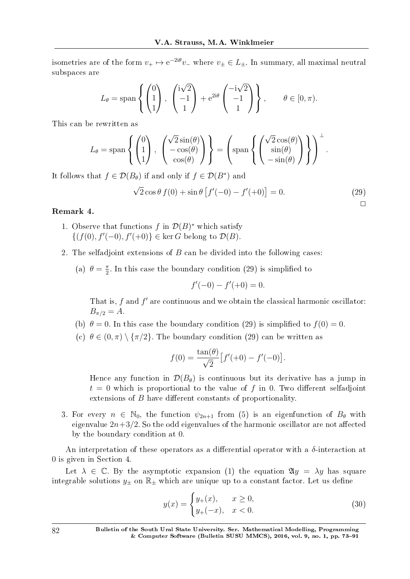isometries are of the form  $v_+ \mapsto e^{-2i\theta}v_-\,$  where  $v_\pm \in L_\pm$ . In summary, all maximal neutral subspaces are

$$
L_{\theta} = \text{span}\left\{ \begin{pmatrix} 0 \\ 1 \\ 1 \end{pmatrix}, \begin{pmatrix} i\sqrt{2} \\ -1 \\ 1 \end{pmatrix} + e^{2i\theta} \begin{pmatrix} -i\sqrt{2} \\ -1 \\ 1 \end{pmatrix} \right\}, \qquad \theta \in [0, \pi).
$$

This can be rewritten as

$$
L_{\theta} = \text{span}\left\{ \begin{pmatrix} 0 \\ 1 \\ 1 \end{pmatrix}, \begin{pmatrix} \sqrt{2}\sin(\theta) \\ -\cos(\theta) \\ \cos(\theta) \end{pmatrix} \right\} = \left(\text{span}\left\{ \begin{pmatrix} \sqrt{2}\cos(\theta) \\ \sin(\theta) \\ -\sin(\theta) \end{pmatrix} \right\} \right)^{\perp}.
$$

It follows that  $f \in \mathcal{D}(B_{\theta})$  if and only if  $f \in \mathcal{D}(B^*)$  and

$$
\sqrt{2}\cos\theta f(0) + \sin\theta \left[ f'(-0) - f'(+0) \right] = 0.
$$
 (29)

### Remark 4.

- 1. Observe that functions  $f$  in  $\mathcal{D}(B)^*$  which satisfy *{*(*f*(0)*, f<sup>′</sup>*(−0)*, f<sup>′</sup>*(+0)} ∈ ker *G* belong to  $D(B)$ .
- 2. The selfadjoint extensions of *B* can be divided into the following cases:
	- (a)  $\theta = \frac{\pi}{2}$  $\frac{\pi}{2}$ . In this case the boundary condition (29) is simplified to

$$
f'(-0) - f'(+0) = 0.
$$

That is, f and f' are continuous and we obtain the classical harmonic oscillator:  $B_{\pi/2} = A$ .

- (b)  $\theta = 0$ . In this case the boundary condition (29) is simplified to  $f(0) = 0$ .
- (c)  $\theta \in (0, \pi) \setminus {\pi/2}$ . The boundary condition (29) can be written as

$$
f(0) = \frac{\tan(\theta)}{\sqrt{2}} [f'(+0) - f'(-0)].
$$

Hence any function in  $\mathcal{D}(B_{\theta})$  is continuous but its derivative has a jump in  $t = 0$  which is proportional to the value of f in 0. Two different selfadjoint extensions of *B* have different constants of proportionality.

3. For every  $n \in \mathbb{N}_0$ , the function  $\psi_{2n+1}$  from (5) is an eigenfunction of  $B_\theta$  with eigenvalue  $2n+3/2$ . So the odd eigenvalues of the harmonic oscillator are not affected by the boundary condition at 0.

An interpretation of these operators as a differential operator with a  $\delta$ -interaction at 0 is given in Section 4..

Let  $\lambda \in \mathbb{C}$ . By the asymptotic expansion (1) the equation  $\mathfrak{A}y = \lambda y$  has square integrable solutions  $y_{\pm}$  on  $\mathbb{R}_{\pm}$  which are unique up to a constant factor. Let us define

$$
y(x) = \begin{cases} y_{+}(x), & x \ge 0, \\ y_{+}(-x), & x < 0. \end{cases}
$$
 (30)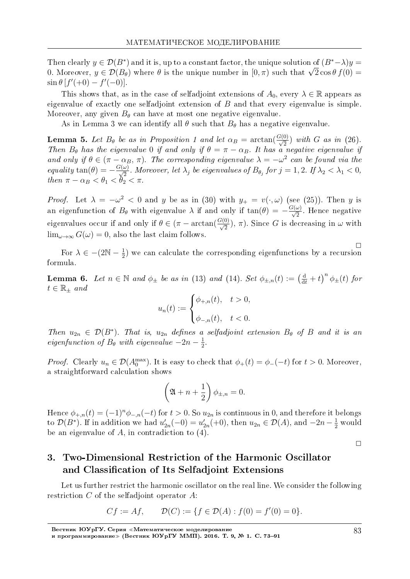Then clearly  $y \in \mathcal{D}(B^*)$  and it is, up to a constant factor, the unique solution of  $(B^*-\lambda)y =$ 0. Moreover,  $y \in \mathcal{D}(B_{\theta})$  where  $\theta$  is the unique number in  $[0, \pi)$  such that  $\sqrt{2} \cos \theta f(0) =$  $\sin \theta [f'(+0) - f'(-0)].$ 

This shows that, as in the case of selfadjoint extensions of  $A_0$ , every  $\lambda \in \mathbb{R}$  appears as eigenvalue of exactly one selfadjoint extension of  $B$  and that every eigenvalue is simple. Moreover, any given  $B_{\theta}$  can have at most one negative eigenvalue.

As in Lemma 3 we can identify all  $\theta$  such that  $B_{\theta}$  has a negative eigenvalue.

**Lemma 5.** Let  $B_{\theta}$  be as in Proposition 1 and let  $\alpha_B = \arctan(\frac{G(0)}{\sqrt{2}})$  with G as in (26).<br>Then  $B_{\theta}$  has the eigenvalue 0 if and only if  $\theta = \pi - \alpha_B$ . It has a negative eigenvalue if and only if  $\theta \in (\pi - \alpha_B, \pi)$ . The corresponding eigenvalue  $\lambda = -\omega^2$  can be found via the equality  $\tan(\theta) = -\frac{G(\omega)}{\sqrt{2}}$ . Moreover, let  $\lambda_j$  be eigenvalues of  $B_{\theta_j}$  for  $j = 1, 2$ . If  $\lambda_2 < \lambda_1 < 0$ , then  $\pi - \alpha_B < \theta_1 < \theta_2 < \pi$ .

*Proof.* Let  $\lambda = -\omega^2 < 0$  and y be as in (30) with  $y_+ = v(\cdot, \omega)$  (see (25)). Then y is an eigenfunction of  $B_{\theta}$  with eigenvalue  $\lambda$  if and only if  $tan(\theta) = -\frac{G(\omega)}{\sqrt{2}}$ . Hence negative eigenvalues occur if and only if  $\theta \in (\pi - \arctan(\frac{G(0)}{\sqrt{2}}), \pi)$ . Since G is decreasing in  $\omega$  with  $\lim_{\omega \to \infty} G(\omega) = 0$ , also the last claim follows

For  $\lambda \in -(2N - \frac{1}{2})$  we can calculate the corresponding eigenfunctions by a recursion formula.

**Lemma 6.** Let  $n \in \mathbb{N}$  and  $\phi_{\pm}$  be as in (13) and (14). Set  $\phi_{\pm,n}(t) := \left(\frac{d}{dt} + t\right)^n \phi_{\pm}(t)$  for  $t \in \mathbb{R}_{\pm}$  and

$$
u_n(t) := \begin{cases} \phi_{+,n}(t), & t > 0, \\ \phi_{-,n}(t), & t < 0. \end{cases}
$$

Then  $u_{2n} \in \mathcal{D}(B^*)$ . That is,  $u_{2n}$  defines a selfadjoint extension  $B_{\theta}$  of B and it is an eigenfunction of  $B_{\theta}$  with eigenvalue  $-2n-\frac{1}{2}$ .

*Proof.* Clearly  $u_n \in \mathcal{D}(A_0^{\max})$ . It is easy to check that  $\phi_+(t) = \phi_-(-t)$  for  $t > 0$ . Moreover, a straightforward calculation shows

$$
\left(\mathfrak{A} + n + \frac{1}{2}\right)\phi_{\pm,n} = 0
$$

Hence  $\phi_{+,n}(t) = (-1)^n \phi_{-,n}(-t)$  for  $t > 0$ . So  $u_{2n}$  is continuous in 0, and therefore it belongs to  $\mathcal{D}(B^*)$ . If in addition we had  $u'_{2n}(-0) = u'_{2n}(+0)$ , then  $u_{2n} \in \mathcal{D}(A)$ , and  $-2n - \frac{1}{2}$  would be an eigenvalue of  $A$ , in contradiction to  $(4)$ .

 $\Box$ 

#### Two-Dimensional Restriction of the Harmonic Oscillator 3. and Classification of Its Selfadjoint Extensions

Let us further restrict the harmonic oscillator on the real line. We consider the following restriction  $C$  of the selfadjoint operator  $A$ :

$$
Cf := Af, \qquad \mathcal{D}(C) := \{ f \in \mathcal{D}(A) : f(0) = f'(0) = 0 \}.
$$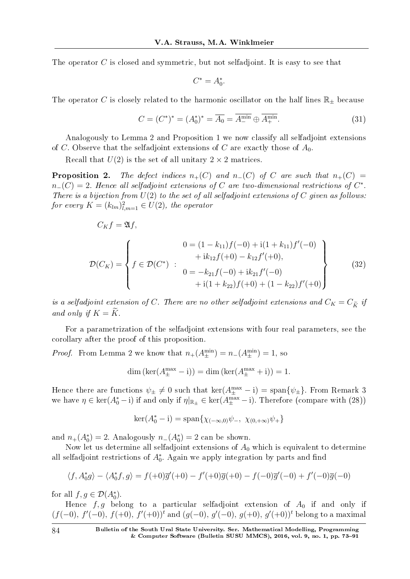The operator *C* is closed and symmetric, but not selfadjoint. It is easy to see that

$$
C^* = A_0^*.
$$

The operator *C* is closely related to the harmonic oscillator on the half lines  $\mathbb{R}_{\pm}$  because

$$
C = (C^*)^* = (A_0^*)^* = \overline{A_0} = \overline{A_0^{\min}} \oplus \overline{A_+^{\min}}.
$$
 (31)

Analogously to Lemma 2 and Proposition 1 we now classify all selfadjoint extensions of *C*. Observe that the selfadjoint extensions of *C* are exactly those of *A*0.

Recall that  $U(2)$  is the set of all unitary  $2 \times 2$  matrices.

**Proposition 2.** The defect indices  $n_{+}(C)$  and  $n_{-}(C)$  of C are such that  $n_{+}(C)$  =  $n$ *−*(*C*) = 2. Hence all selfadjoint extensions of *C* are two-dimensional restrictions of  $C^*$ . There is a bijection from  $U(2)$  to the set of all selfadjoint extensions of  $C$  given as follows: for every  $K = (k_{lm})_{l,m=1}^2 \in U(2)$ , the operator

$$
C_K f = \mathfrak{A}f,
$$
  
\n
$$
\mathcal{D}(C_K) = \left\{ f \in \mathcal{D}(C^*) : \begin{array}{l} 0 = (1 - k_{11})f(-0) + i(1 + k_{11})f'(-0) \\ + i k_{12}f(+0) - k_{12}f'(+0), \\ 0 = -k_{21}f(-0) + i k_{21}f'(-0) \\ + i(1 + k_{22})f(+0) + (1 - k_{22})f'(+0) \end{array} \right\}
$$
\n(32)

is a selfadjoint extension of *C*. There are no other selfadjoint extensions and  $C_K = C_{\tilde{K}}$  if and only if  $K = \widetilde{K}$ .

For a parametrization of the selfadjoint extensions with four real parameters, see the corollary after the proof of this proposition.

*Proof.* From Lemma 2 we know that  $n_{+}(A_{\pm}^{\min}) = n_{-}(A_{\pm}^{\min}) = 1$ , so

$$
\dim\left(\ker(A_{\pm}^{\max}-i)\right)=\dim\left(\ker(A_{\pm}^{\max}+i)\right)=1.
$$

Hence there are functions  $\psi_{\pm} \neq 0$  such that  $\ker(A_{\pm}^{\max} - i) = \text{span}\{\psi_{\pm}\}.$  From Remark 3 we have  $\eta \in \ker(A_0^* - i)$  if and only if  $\eta|_{\mathbb{R}_\pm} \in \ker(A_\pm^{\max} - i)$ . Therefore (compare with (28))

$$
\ker(A_0^* - i) = \text{span}\{\chi_{(-\infty,0)}\psi_-, \ \chi_{(0,+\infty)}\psi_+\}
$$

and  $n_+(A_0^*) = 2$ . Analogously  $n_-(A_0^*) = 2$  can be shown.

Now let us determine all selfadjoint extensions of *A*<sup>0</sup> which is equivalent to determine all selfadjoint restrictions of  $A_0^*$ . Again we apply integration by parts and find

$$
\langle f, A_0^* g \rangle - \langle A_0^* f, g \rangle = f(+0)\overline{g}'(+0) - f'(+0)\overline{g}(+0) - f(-0)\overline{g}'(-0) + f'(-0)\overline{g}(-0)
$$

for all  $f, g \in \mathcal{D}(A_0^*).$ 

Hence  $f, g$  belong to a particular selfadjoint extension of  $A_0$  if and only if (*f*(*−*0)*, f′* (*−*0)*, f*(+0)*, f′* (+0))*<sup>t</sup>* and (*g*(*−*0)*, g′* (*−*0)*, g*(+0)*, g′* (+0))*<sup>t</sup>* belong to a maximal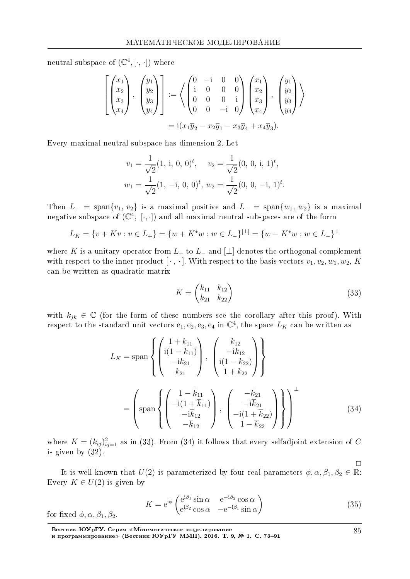neutral subspace of  $(\mathbb{C}^4, [\cdot, \cdot])$  where

$$
\begin{bmatrix}\n x_1 \\
x_2 \\
x_3 \\
x_4\n\end{bmatrix},\n\begin{bmatrix}\n y_1 \\
y_2 \\
y_3 \\
y_4\n\end{bmatrix} := \left\langle \begin{pmatrix}\n 0 & -i & 0 & 0 \\
i & 0 & 0 & 0 \\
0 & 0 & 0 & i \\
0 & 0 & -i & 0\n\end{pmatrix},\n\begin{bmatrix}\n x_1 \\
x_2 \\
x_3 \\
x_4\n\end{bmatrix},\n\begin{bmatrix}\n y_1 \\
y_2 \\
y_3 \\
y_4\n\end{bmatrix}\n\right\rangle
$$
\n
$$
= i(x_1\overline{y}_2 - x_2\overline{y}_1 - x_3\overline{y}_4 + x_4\overline{y}_3).
$$

Every maximal neutral subspace has dimension 2. Let

$$
v_1 = \frac{1}{\sqrt{2}} (1, i, 0, 0)^t, \quad v_2 = \frac{1}{\sqrt{2}} (0, 0, i, 1)^t,
$$
  

$$
w_1 = \frac{1}{\sqrt{2}} (1, -i, 0, 0)^t, w_2 = \frac{1}{\sqrt{2}} (0, 0, -i, 1)^t.
$$

Then  $L_{+} = \text{span}\{v_1, v_2\}$  is a maximal positive and  $L_{-} = \text{span}\{w_1, w_2\}$  is a maximal negative subspace of  $(\mathbb{C}^4, [\cdot, \cdot])$  and all maximal neutral subspaces are of the form

$$
L_K = \{v + Kv : v \in L_+\} = \{w + K^*w : w \in L_-\}^{[\perp]} = \{w - K^*w : w \in L_-\}^{\perp}
$$

where K is a unitary operator from  $L_+$  to  $L_-$  and  $\lfloor \perp \rfloor$  denotes the orthogonal complement with respect to the inner product [ $\cdot$ ,  $\cdot$ ]. With respect to the basis vectors  $v_1, v_2, w_1, w_2, K$ can be written as quadratic matrix

$$
K = \begin{pmatrix} k_{11} & k_{12} \\ k_{21} & k_{22} \end{pmatrix}
$$
 (33)

with  $k_{jk} \in \mathbb{C}$  (for the form of these numbers see the corollary after this proof). With respect to the standard unit vectors  $e_1, e_2, e_3, e_4$  in  $\mathbb{C}^4$ , the space  $L_K$  can be written as

$$
L_{K} = \text{span}\left\{ \begin{pmatrix} 1 + k_{11} \\ i(1 - k_{11}) \\ -ik_{21} \\ k_{21} \end{pmatrix}, \begin{pmatrix} k_{12} \\ -ik_{12} \\ i(1 - k_{22}) \\ 1 + k_{22} \end{pmatrix} \right\}
$$

$$
= \left(\text{span}\left\{ \begin{pmatrix} 1 - \overline{k}_{11} \\ -i(1 + \overline{k}_{11}) \\ -i\overline{k}_{12} \\ -\overline{k}_{12} \end{pmatrix}, \begin{pmatrix} -\overline{k}_{21} \\ -i\overline{k}_{21} \\ -i(1 + \overline{k}_{22}) \\ 1 - \overline{k}_{22} \end{pmatrix} \right\} \right\} (34)
$$

where  $K = (k_{ij})_{ij=1}^2$  as in (33). From (34) it follows that every selfadjoint extension of C is given by  $(32)$ .

It is well-known that  $U(2)$  is parameterized by four real parameters  $\phi, \alpha, \beta_1, \beta_2 \in \mathbb{R}$ . Every  $K \in U(2)$  is given by

$$
K = e^{i\phi} \begin{pmatrix} e^{i\beta_1} \sin \alpha & e^{-i\beta_2} \cos \alpha \\ e^{i\beta_2} \cos \alpha & -e^{-i\beta_1} \sin \alpha \end{pmatrix}
$$
 (35)

for fixed  $\phi$ ,  $\alpha$ ,  $\beta_1$ ,  $\beta_2$ .

Вестник ЮУрГУ. Серия «Математическое моделирование<br>и программирование» (Вестник ЮУрГУ ММП). 2016. Т. 9, № 1. С. 73–91

85

 $\Box$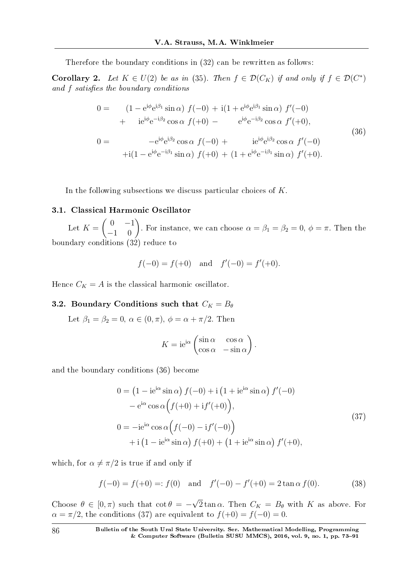Therefore the boundary conditions in (32) can be rewritten as follows:

**Corollary 2.** Let  $K \in U(2)$  be as in (35). Then  $f \in \mathcal{D}(C_K)$  if and only if  $f \in \mathcal{D}(C^*)$ and f satisfies the boundary conditions

$$
0 = (1 - e^{i\phi} e^{i\beta_1} \sin \alpha) f(-0) + i(1 + e^{i\phi} e^{i\beta_1} \sin \alpha) f'(-0) + i e^{i\phi} e^{-i\beta_2} \cos \alpha f(+0) - e^{i\phi} e^{-i\beta_2} \cos \alpha f'(+0),
$$
  
\n
$$
0 = -e^{i\phi} e^{i\beta_2} \cos \alpha f(-0) + i e^{i\phi} e^{i\beta_2} \cos \alpha f'(-0) + i(1 - e^{i\phi} e^{-i\beta_1} \sin \alpha) f(+0) + (1 + e^{i\phi} e^{-i\beta_1} \sin \alpha) f'(+0).
$$
\n(36)

In the following subsections we discuss particular choices of *K*.

## 3.1. Classical Harmonic Oscillator

Let  $K = \begin{pmatrix} 0 & -1 \ -1 & 0 \end{pmatrix}$ . For instance, we can choose  $\alpha = \beta_1 = \beta_2 = 0$ ,  $\phi = \pi$ . Then the boundary conditions (32) reduce to

$$
f(-0) = f(+0)
$$
 and  $f'(-0) = f'(+0)$ .

Hence  $C_K = A$  is the classical harmonic oscillator.

## 3.2. Boundary Conditions such that  $C_K = B_\theta$

Let  $\beta_1 = \beta_2 = 0$ ,  $\alpha \in (0, \pi)$ ,  $\phi = \alpha + \pi/2$ . Then

$$
K = ie^{i\alpha} \begin{pmatrix} \sin \alpha & \cos \alpha \\ \cos \alpha & -\sin \alpha \end{pmatrix}.
$$

and the boundary conditions (36) become

$$
0 = \left(1 - ie^{i\alpha} \sin \alpha\right) f(-0) + i \left(1 + ie^{i\alpha} \sin \alpha\right) f'(-0)
$$

$$
- e^{i\alpha} \cos \alpha \left(f(+0) + if'(+0)\right),
$$

$$
0 = -ie^{i\alpha} \cos \alpha \left(f(-0) - if'(-0)\right)
$$

$$
+ i \left(1 - ie^{i\alpha} \sin \alpha\right) f(+0) + \left(1 + ie^{i\alpha} \sin \alpha\right) f'(+0),
$$

$$
(37)
$$

which, for  $\alpha \neq \pi/2$  is true if and only if

$$
f(-0) = f(+0) =: f(0)
$$
 and  $f'(-0) - f'(+0) = 2 \tan \alpha f(0)$ . (38)

Choose  $\theta \in [0, \pi)$  such that  $\cot \theta = -$ *√*  $2 \tan \alpha$ . Then  $C_K = B_\theta$  with  $K$  as above. For  $\alpha = \pi/2$ , the conditions (37) are equivalent to  $f(+0) = f(-0) = 0$ .

86 Bulletin of the South Ural State University. Ser. Mathematical Modelling, Programming & Computer Software (Bulletin SUSU MMCS), 2016, vol. 9, no. 1, pp. 73–91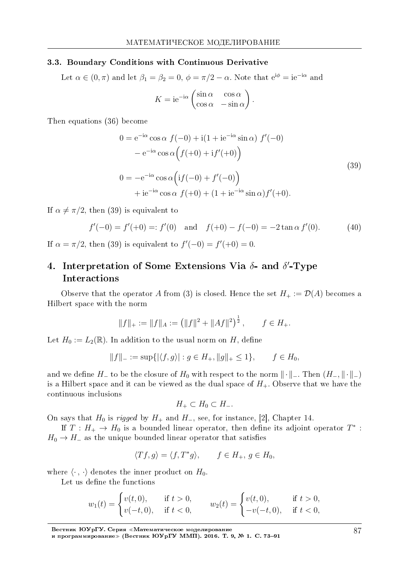#### 3.3. Boundary Conditions with Continuous Derivative

Let  $\alpha \in (0, \pi)$  and let  $\beta_1 = \beta_2 = 0$ ,  $\phi = \pi/2 - \alpha$ . Note that  $e^{i\phi} = ie^{-i\alpha}$  and

$$
K = ie^{-i\alpha} \begin{pmatrix} \sin \alpha & \cos \alpha \\ \cos \alpha & -\sin \alpha \end{pmatrix}
$$

Then equations (36) become

$$
0 = e^{-i\alpha} \cos \alpha f(-0) + i(1 + ie^{-i\alpha} \sin \alpha) f'(-0)
$$
  
\n
$$
- e^{-i\alpha} \cos \alpha (f(+0) + if'(+0))
$$
  
\n
$$
0 = -e^{-i\alpha} \cos \alpha (if(-0) + f'(-0))
$$
  
\n
$$
+ ie^{-i\alpha} \cos \alpha f(+0) + (1 + ie^{-i\alpha} \sin \alpha) f'(+0).
$$
  
\n(39)

*.*

If  $\alpha \neq \pi/2$ , then (39) is equivalent to

$$
f'(-0) = f'(+0) =: f'(0)
$$
 and  $f(+0) - f(-0) = -2 \tan \alpha f'(0)$ . (40)

If  $\alpha = \pi/2$ , then (39) is equivalent to  $f'(-0) = f'(+0) = 0$ .

# 4. Interpretation of Some Extensions Via *δ*- and *δ ′* -Type Interactions

Observe that the operator *A* from (3) is closed. Hence the set  $H_+ := \mathcal{D}(A)$  becomes a Hilbert space with the norm

$$
||f||_{+} := ||f||_{A} := (||f||^{2} + ||Af||^{2})^{\frac{1}{2}}, \quad f \in H_{+}.
$$

Let  $H_0 := L_2(\mathbb{R})$ . In addition to the usual norm on *H*, define

$$
||f||_- := \sup\{|\langle f, g \rangle| : g \in H_+, ||g||_+ \le 1\}, \qquad f \in H_0,
$$

and we define  $H$ <sup>−</sup> to be the closure of  $H_0$  with respect to the norm  $\|\cdot\|$ <sup>−</sup>. Then  $(H$ <sup>−</sup>,  $\|\cdot\|$ <sup>−</sup>) is a Hilbert space and it can be viewed as the dual space of  $H_+$ . Observe that we have the continuous inclusions

$$
H_+\subset H_0\subset H_-.
$$

On says that  $H_0$  is *rigged* by  $H_+$  and  $H_-$ , see, for instance, [2], Chapter 14.

If  $T : H_+ \to H_0$  is a bounded linear operator, then define its adjoint operator  $T^*$  :  $H_0 \rightarrow H_-\text{ as the unique bounded linear operator that satisfies$ 

$$
\langle Tf, g \rangle = \langle f, T^*g \rangle, \qquad f \in H_+, \ g \in H_0,
$$

where  $\langle \cdot, \cdot \rangle$  denotes the inner product on  $H_0$ .

Let us define the functions

$$
w_1(t) = \begin{cases} v(t,0), & \text{if } t > 0, \\ v(-t,0), & \text{if } t < 0, \end{cases} \qquad w_2(t) = \begin{cases} v(t,0), & \text{if } t > 0, \\ -v(-t,0), & \text{if } t < 0, \end{cases}
$$

Вестник ЮУрГУ. Серия «Математическое моделирование

и программирование≫ (Вестник ЮУрГУ ММП). 2016. Т. 9, № 1. С. 73–91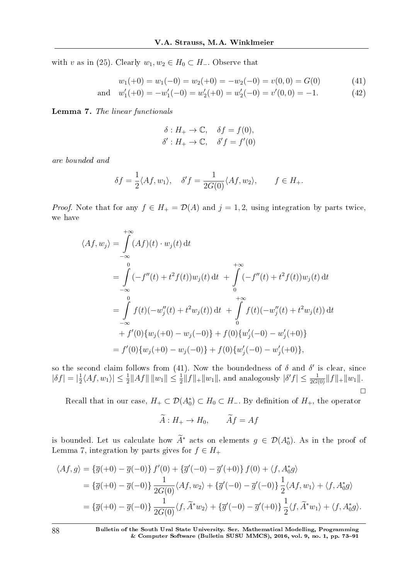with *v* as in (25). Clearly  $w_1, w_2 \in H_0 \subset H_-\$ . Observe that

$$
w_1(+0) = w_1(-0) = w_2(+0) = -w_2(-0) = v(0,0) = G(0)
$$
\n(41)

and 
$$
w'_1(+0) = -w'_1(-0) = w'_2(+0) = w'_2(-0) = v'(0,0) = -1.
$$
 (42)

Lemma 7. The linear functionals

$$
\delta: H_+ \to \mathbb{C}, \quad \delta f = f(0),
$$
  

$$
\delta': H_+ \to \mathbb{C}, \quad \delta' f = f'(0)
$$

are bounded and

$$
\delta f = \frac{1}{2} \langle Af, w_1 \rangle, \quad \delta' f = \frac{1}{2G(0)} \langle Af, w_2 \rangle, \qquad f \in H_+.
$$

*Proof.* Note that for any  $f \in H_+ = \mathcal{D}(A)$  and  $j = 1, 2$ , using integration by parts twice, we have

$$
\langle Af, w_j \rangle = \int_{-\infty}^{+\infty} (Af)(t) \cdot w_j(t) dt
$$
  
\n
$$
= \int_{-\infty}^{0} (-f''(t) + t^2 f(t))w_j(t) dt + \int_{0}^{+\infty} (-f''(t) + t^2 f(t))w_j(t) dt
$$
  
\n
$$
= \int_{-\infty}^{0} f(t)(-w_j''(t) + t^2 w_j(t)) dt + \int_{0}^{+\infty} f(t)(-w_j''(t) + t^2 w_j(t)) dt
$$
  
\n
$$
+ f'(0)\{w_j(+0) - w_j(-0)\} + f(0)\{w_j'(-0) - w_j'(+0)\}
$$
  
\n
$$
= f'(0)\{w_j(+0) - w_j(-0)\} + f(0)\{w_j'(-0) - w_j'(+0)\},
$$

so the second claim follows from (41). Now the boundedness of  $\delta$  and  $\delta'$  is clear, since  $|\delta f| = |\frac{1}{2}$  $\frac{1}{2}\langle Af, w_1 \rangle \leq \frac{1}{2}||Af|| \, ||w_1|| \leq \frac{1}{2}||f||_+ ||w_1||$ , and analogously  $|\delta' f| \leq \frac{1}{2G(0)}||f||_+ ||w_1||$ .  $\Box$ 

Recall that in our case,  $H_+ \subset \mathcal{D}(A_0^*) \subset H_0 \subset H_-$ . By definition of  $H_+$ , the operator

$$
\widetilde{A}: H_+ \to H_0, \qquad \widetilde{A}f = Af
$$

is bounded. Let us calculate how  $A^*$  acts on elements  $g \in \mathcal{D}(A_0^*)$ . As in the proof of Lemma 7, integration by parts gives for  $f \in H_+$ 

$$
\langle Af, g \rangle = \{\overline{g}(+0) - \overline{g}(-0)\} f'(0) + \{\overline{g}'(-0) - \overline{g}'(+0)\} f(0) + \langle f, A_0^* g \rangle
$$
  
=  $\{\overline{g}(+0) - \overline{g}(-0)\} \frac{1}{2G(0)} \langle Af, w_2 \rangle + \{\overline{g}'(-0) - \overline{g}'(-0)\} \frac{1}{2} \langle Af, w_1 \rangle + \langle f, A_0^* g \rangle$   
=  $\{\overline{g}(+0) - \overline{g}(-0)\} \frac{1}{2G(0)} \langle f, \widetilde{A}^* w_2 \rangle + \{\overline{g}'(-0) - \overline{g}'(+0)\} \frac{1}{2} \langle f, \widetilde{A}^* w_1 \rangle + \langle f, A_0^* g \rangle.$ 

88 Bulletin of the South Ural State University. Ser. Mathematical Modelling, Programming & Computer Software (Bulletin SUSU MMCS), 2016, vol. 9, no. 1, pp.  $73-91$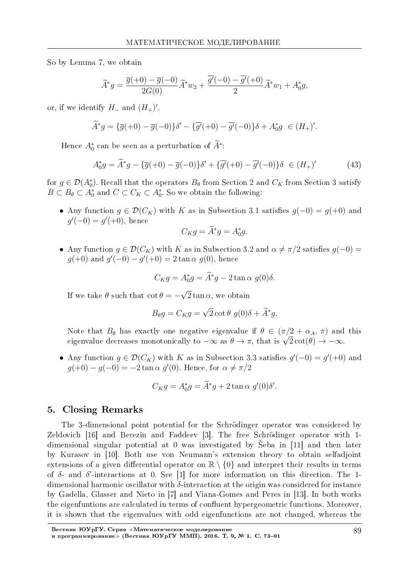So by Lemma 7, we obtain

$$
\widetilde{A}^* g = \frac{\overline{g}(+0) - \overline{g}(-0)}{2G(0)} \widetilde{A}^* w_2 + \frac{\overline{g'}(-0) - \overline{g'}(+0)}{2} \widetilde{A}^* w_1 + A_0^* g,
$$

or, if we identify  $H_-\text{ and } (H_+)'$ ,

$$
\widetilde{A}^*g = \{\overline{g}(+0) - \overline{g}(-0)\}\delta' - \{\overline{g'}(+0) - \overline{g'}(-0)\}\delta + A_0^*g \in (H_+)'.
$$

Hence  $A_0^*$  can be seen as a perturbation of  $A^*$ :

$$
A_0^* g = \widetilde{A}^* g - \{\overline{g}(+0) - \overline{g}(-0)\} \delta' + \{\overline{g'}(+0) - \overline{g'}(-0)\} \delta \in (H_+)' \tag{43}
$$

for  $g \in \mathcal{D}(A_0^*)$ . Recall that the operators  $B_\theta$  from Section 2 and  $C_K$  from Section 3 satisfy  $B \subset B_{\theta} \subset A_0^*$  and  $C \subset C_K \subset A_0^*$ . So we obtain the following:

• Any function  $g \in \mathcal{D}(C_K)$  with *K* as in Subsection 3.1 satisfies  $g(-0) = g(+0)$  and  $g'(-0) = g'(+0)$ , hence

$$
C_K g = \widetilde{A}^* g = A_0^* g.
$$

• Any function  $g \in \mathcal{D}(C_K)$  with *K* as in Subsection 3.2 and  $\alpha \neq \pi/2$  satisfies  $g(-0)$  =  $g(+0)$  and  $g'(-0) - g'(+0) = 2 \tan \alpha \ g(0)$ , hence

$$
C_K g = A_0^* g = \widetilde{A}^* g - 2 \tan \alpha \ g(0) \delta.
$$

If we take  $\theta$  such that  $\cot \theta = -$ *√*  $2 \tan \alpha$ , we obtain

$$
B_{\theta}g = C_K g = \sqrt{2} \cot \theta \ g(0)\delta + \widetilde{A}^*g.
$$

Note that  $B_{\theta}$  has exactly one negative eigenvalue if  $\theta \in (\pi/2 + \alpha_A, \pi)$  and this Note that  $D_{\theta}$  has exactly one negative eigenvalue if  $\sigma \in (\pi/2 + \alpha_A, \pi)$  and<br>eigenvalue decreases monotonically to  $-\infty$  as  $\theta \to \pi$ , that is  $\sqrt{2}\cot(\theta) \to -\infty$ .

• Any function  $g \in \mathcal{D}(C_K)$  with *K* as in Subsection 3.3 satisfies  $g'(-0) = g'(+0)$  and *g*(+0) − *g*(−0) = −2 tan *α g*<sup> $′$ </sup>(0). Hence, for  $α ≠ π/2$ 

$$
C_K g = A_0^* g = \tilde{A}^* g + 2 \tan \alpha \ g'(0) \delta'.
$$

# 5. Closing Remarks

The 3-dimensional point potential for the Schrodinger operator was considered by Zeldovich [16] and Berezin and Faddeev [3]. The free Schrödinger operator with 1dimensional singular potential at 0 was investigated by Seba in [11] and then later by Kurasov in [10]. Both use von Neumann's extension theory to obtain selfadjoint extensions of a given differential operator on  $\mathbb{R} \setminus \{0\}$  and interpret their results in terms of *δ*- and *δ ′* -interactions at 0. See [1] for more information on this direction. The 1 dimensional harmonic oscillator with *δ*-interaction at the origin was considered for instance by Gadella, Glasser and Nieto in [7] and Viana-Gomes and Peres in [13]. In both works the eigenfuntions are calculated in terms of confluent hypergeometric functions. Moreover, it is shown that the eigenvalues with odd eigenfunctions are not changed, whereas the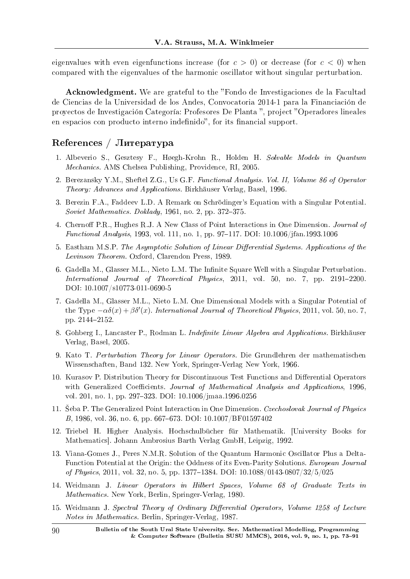eigenvalues with even eigenfunctions increase (for  $c > 0$ ) or decrease (for  $c < 0$ ) when compared with the eigenvalues of the harmonic oscillator without singular perturbation.

Acknowledgment. We are grateful to the "Fondo de Investigaciones de la Facultad de Ciencias de la Universidad de los Andes, Convocatoria 2014-1 para la Financiacion de proyectos de Investigación Categoría: Profesores De Planta ", project "Operadores lineales en espacios con producto interno indefinido", for its financial support.

# $Ref$ eferences / Литература

- 1. Albeverio S., Gesztesy F., Høegh-Krohn R., Holden H. Solvable Models in Quantum Mechanics. AMS Chelsea Publishing, Providence, RI, 2005.
- 2. Berezansky Y.M., Sheftel Z.G., Us G.F. Functional Analysis. Vol. II, Volume 86 of Operator Theory: Advances and Applications. Birkhauser Verlag, Basel, 1996.
- 3. Berezin F.A., Faddeev L.D. A Remark on Schrodinger's Equation with a Singular Potential. Soviet Mathematics. Doklady,  $1961$ , no. 2, pp. 372-375.
- 4. Chernoff P.R., Hughes R.J. A New Class of Point Interactions in One Dimension. *Journal of* Functional Analysis, 1993, vol. 111, no. 1, pp. 97-117. DOI: 10.1006/jfan.1993.1006
- 5. Eastham M.S.P. The Asymptotic Solution of Linear Differential Systems. Applications of the Levinson Theorem. Oxford, Clarendon Press, 1989.
- 6. Gadella M., Glasser M.L., Nieto L.M. The Infinite Square Well with a Singular Perturbation. International Journal of Theoretical Physics, 2011, vol. 50, no. 7, pp. 2191-2200. DOI: 10.1007/s10773-011-0690-5
- 7. Gadella M., Glasser M.L., Nieto L.M. One Dimensional Models with a Singular Potential of the Type  $-\alpha\delta(x)+\beta\delta'(x)$ . International Journal of Theoretical Physics, 2011, vol. 50, no. 7, pp. 2144-2152.
- 8. Gohberg I., Lancaster P., Rodman L. Indefinite Linear Algebra and Applications. Birkhäuser Verlag, Basel, 2005.
- 9. Kato T. Perturbation Theory for Linear Operators. Die Grundlehren der mathematischen Wissenschaften, Band 132. New York, Springer-Verlag New York, 1966.
- 10. Kurasov P. Distribution Theory for Discontinuous Test Functions and Differential Operators with Generalized Coefficients. Journal of Mathematical Analysis and Applications, 1996, vol. 201, no. 1, pp. 297-323. DOI: 10.1006/jmaa.1996.0256
- 11. Seba P. The Generalized Point Interaction in One Dimension. Czechoslovak Journal of Physics B, 1986, vol. 36, no. 6, pp. 667–673. DOI: 10.1007/BF01597402
- 12. Triebel H. Higher Analysis. Hochschulbucher fur Mathematik. [University Books for Mathematics]. Johann Ambrosius Barth Verlag GmbH, Leipzig, 1992.
- 13. Viana-Gomes J., Peres N.M.R. Solution of the Quantum Harmonic Oscillator Plus a Delta-Function Potential at the Origin: the Oddness of its Even-Parity Solutions. European Journal of Physics, 2011, vol. 32, no. 5, pp. 1377–1384. DOI:  $10.1088/0143-0807/32/5/025$
- 14. Weidmann J. Linear Operators in Hilbert Spaces, Volume 68 of Graduate Texts in Mathematics. New York, Berlin, Springer-Verlag, 1980.
- 15. Weidmann J. Spectral Theory of Ordinary Differential Operators, Volume 1258 of Lecture Notes in Mathematics. Berlin, Springer-Verlag, 1987.